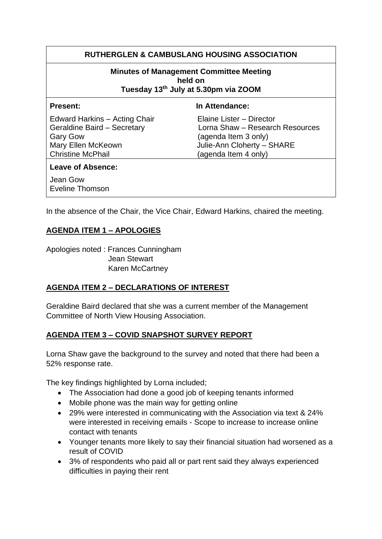## **RUTHERGLEN & CAMBUSLANG HOUSING ASSOCIATION**

#### **Minutes of Management Committee Meeting held on Tuesday 13th July at 5.30pm via ZOOM**

Edward Harkins – Acting Chair Flaine Lister – Director Gary Gow (agenda Item 3 only) Mary Ellen McKeown Julie-Ann Cloherty – SHARE Christine McPhail (agenda Item 4 only)

#### **Present:** In Attendance:

Geraldine Baird – Secretary Lorna Shaw – Research Resources

#### **Leave of Absence:**

Jean Gow Eveline Thomson

In the absence of the Chair, the Vice Chair, Edward Harkins, chaired the meeting.

### **AGENDA ITEM 1 – APOLOGIES**

Apologies noted : Frances Cunningham Jean Stewart Karen McCartney

### **AGENDA ITEM 2 – DECLARATIONS OF INTEREST**

Geraldine Baird declared that she was a current member of the Management Committee of North View Housing Association.

### **AGENDA ITEM 3 – COVID SNAPSHOT SURVEY REPORT**

Lorna Shaw gave the background to the survey and noted that there had been a 52% response rate.

The key findings highlighted by Lorna included;

- The Association had done a good job of keeping tenants informed
- Mobile phone was the main way for getting online
- 29% were interested in communicating with the Association via text & 24% were interested in receiving emails - Scope to increase to increase online contact with tenants
- Younger tenants more likely to say their financial situation had worsened as a result of COVID
- 3% of respondents who paid all or part rent said they always experienced difficulties in paying their rent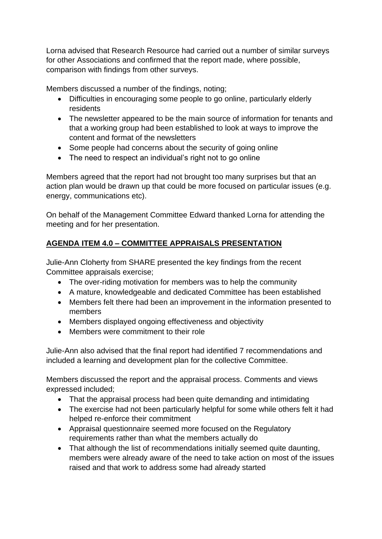Lorna advised that Research Resource had carried out a number of similar surveys for other Associations and confirmed that the report made, where possible, comparison with findings from other surveys.

Members discussed a number of the findings, noting;

- Difficulties in encouraging some people to go online, particularly elderly residents
- The newsletter appeared to be the main source of information for tenants and that a working group had been established to look at ways to improve the content and format of the newsletters
- Some people had concerns about the security of going online
- The need to respect an individual's right not to go online

Members agreed that the report had not brought too many surprises but that an action plan would be drawn up that could be more focused on particular issues (e.g. energy, communications etc).

On behalf of the Management Committee Edward thanked Lorna for attending the meeting and for her presentation.

# **AGENDA ITEM 4.0 – COMMITTEE APPRAISALS PRESENTATION**

Julie-Ann Cloherty from SHARE presented the key findings from the recent Committee appraisals exercise;

- The over-riding motivation for members was to help the community
- A mature, knowledgeable and dedicated Committee has been established
- Members felt there had been an improvement in the information presented to members
- Members displayed ongoing effectiveness and objectivity
- Members were commitment to their role

Julie-Ann also advised that the final report had identified 7 recommendations and included a learning and development plan for the collective Committee.

Members discussed the report and the appraisal process. Comments and views expressed included;

- That the appraisal process had been quite demanding and intimidating
- The exercise had not been particularly helpful for some while others felt it had helped re-enforce their commitment
- Appraisal questionnaire seemed more focused on the Regulatory requirements rather than what the members actually do
- That although the list of recommendations initially seemed quite daunting, members were already aware of the need to take action on most of the issues raised and that work to address some had already started